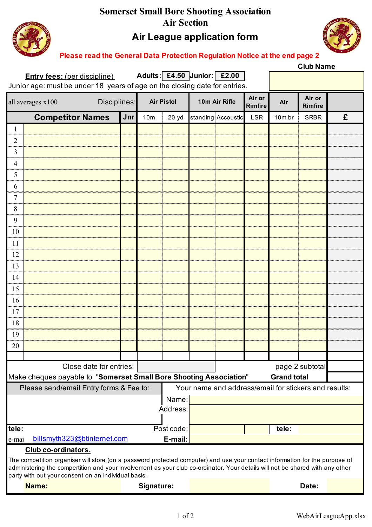

# **Somerset Small Bore Shooting Association Air Section**

### **Air League application form**



**Club Name**

#### **Please read the General Data Protection Regulation Notice at the end page 2**

|                                                                                                                                                                                                                                                                                                                     | <b>Entry fees:</b> (per discipline)<br>Junior age: must be under 18 years of age on the closing date for entries. |                   |                 | Adults: £4.50 Junior: £2.00 |  |                          |            |                          |                 |   |
|---------------------------------------------------------------------------------------------------------------------------------------------------------------------------------------------------------------------------------------------------------------------------------------------------------------------|-------------------------------------------------------------------------------------------------------------------|-------------------|-----------------|-----------------------------|--|--------------------------|------------|--------------------------|-----------------|---|
| Disciplines:<br>all averages x100                                                                                                                                                                                                                                                                                   |                                                                                                                   | <b>Air Pistol</b> |                 | 10m Air Rifle               |  | Air or<br><b>Rimfire</b> | Air        | Air or<br><b>Rimfire</b> |                 |   |
|                                                                                                                                                                                                                                                                                                                     | <b>Competitor Names</b>                                                                                           | Jnr               | 10 <sub>m</sub> | 20 yd                       |  | standing Accoustic       | <b>LSR</b> | 10m br                   | <b>SRBR</b>     | £ |
| 1                                                                                                                                                                                                                                                                                                                   |                                                                                                                   |                   |                 |                             |  |                          |            |                          |                 |   |
| $\overline{2}$                                                                                                                                                                                                                                                                                                      |                                                                                                                   |                   |                 |                             |  |                          |            |                          |                 |   |
| 3                                                                                                                                                                                                                                                                                                                   |                                                                                                                   |                   |                 |                             |  |                          |            |                          |                 |   |
| 4                                                                                                                                                                                                                                                                                                                   |                                                                                                                   |                   |                 |                             |  |                          |            |                          |                 |   |
| 5                                                                                                                                                                                                                                                                                                                   |                                                                                                                   |                   |                 |                             |  |                          |            |                          |                 |   |
| 6                                                                                                                                                                                                                                                                                                                   |                                                                                                                   |                   |                 |                             |  |                          |            |                          |                 |   |
| 7                                                                                                                                                                                                                                                                                                                   |                                                                                                                   |                   |                 |                             |  |                          |            |                          |                 |   |
| 8                                                                                                                                                                                                                                                                                                                   |                                                                                                                   |                   |                 |                             |  |                          |            |                          |                 |   |
| 9                                                                                                                                                                                                                                                                                                                   |                                                                                                                   |                   |                 |                             |  |                          |            |                          |                 |   |
| 10                                                                                                                                                                                                                                                                                                                  |                                                                                                                   |                   |                 |                             |  |                          |            |                          |                 |   |
| 11                                                                                                                                                                                                                                                                                                                  |                                                                                                                   |                   |                 |                             |  |                          |            |                          |                 |   |
| 12                                                                                                                                                                                                                                                                                                                  |                                                                                                                   |                   |                 |                             |  |                          |            |                          |                 |   |
| 13                                                                                                                                                                                                                                                                                                                  |                                                                                                                   |                   |                 |                             |  |                          |            |                          |                 |   |
| 14                                                                                                                                                                                                                                                                                                                  |                                                                                                                   |                   |                 |                             |  |                          |            |                          |                 |   |
| 15                                                                                                                                                                                                                                                                                                                  |                                                                                                                   |                   |                 |                             |  |                          |            |                          |                 |   |
| 16                                                                                                                                                                                                                                                                                                                  |                                                                                                                   |                   |                 |                             |  |                          |            |                          |                 |   |
| 17                                                                                                                                                                                                                                                                                                                  |                                                                                                                   |                   |                 |                             |  |                          |            |                          |                 |   |
| 18                                                                                                                                                                                                                                                                                                                  |                                                                                                                   |                   |                 |                             |  |                          |            |                          |                 |   |
| 19                                                                                                                                                                                                                                                                                                                  |                                                                                                                   |                   |                 |                             |  |                          |            |                          |                 |   |
| 20                                                                                                                                                                                                                                                                                                                  |                                                                                                                   |                   |                 |                             |  |                          |            |                          |                 |   |
|                                                                                                                                                                                                                                                                                                                     |                                                                                                                   |                   |                 |                             |  |                          |            |                          |                 |   |
|                                                                                                                                                                                                                                                                                                                     | Close date for entries:                                                                                           |                   |                 |                             |  |                          |            |                          | page 2 subtotal |   |
|                                                                                                                                                                                                                                                                                                                     | Make cheques payable to "Somerset Small Bore Shooting Association"                                                |                   |                 |                             |  |                          |            | <b>Grand total</b>       |                 |   |
| Your name and address/email for stickers and results:<br>Please send/email Entry forms & Fee to:                                                                                                                                                                                                                    |                                                                                                                   |                   |                 |                             |  |                          |            |                          |                 |   |
|                                                                                                                                                                                                                                                                                                                     |                                                                                                                   |                   |                 | Name:                       |  |                          |            |                          |                 |   |
| Address:                                                                                                                                                                                                                                                                                                            |                                                                                                                   |                   |                 |                             |  |                          |            |                          |                 |   |
| tele:                                                                                                                                                                                                                                                                                                               |                                                                                                                   |                   |                 | Post code:                  |  |                          |            | tele:                    |                 |   |
| e-mai                                                                                                                                                                                                                                                                                                               | billsmyth323@btinternet.com                                                                                       |                   |                 | E-mail:                     |  |                          |            |                          |                 |   |
| Club co-ordinators.                                                                                                                                                                                                                                                                                                 |                                                                                                                   |                   |                 |                             |  |                          |            |                          |                 |   |
| The competition organiser will store (on a password protected computer) and use your contact information for the purpose of<br>administering the compertition and your involvement as your club co-ordinator. Your details will not be shared with any other<br>party with out your consent on an individual basis. |                                                                                                                   |                   |                 |                             |  |                          |            |                          |                 |   |
| Name:<br>Signature:                                                                                                                                                                                                                                                                                                 |                                                                                                                   |                   |                 |                             |  |                          |            |                          | Date:           |   |